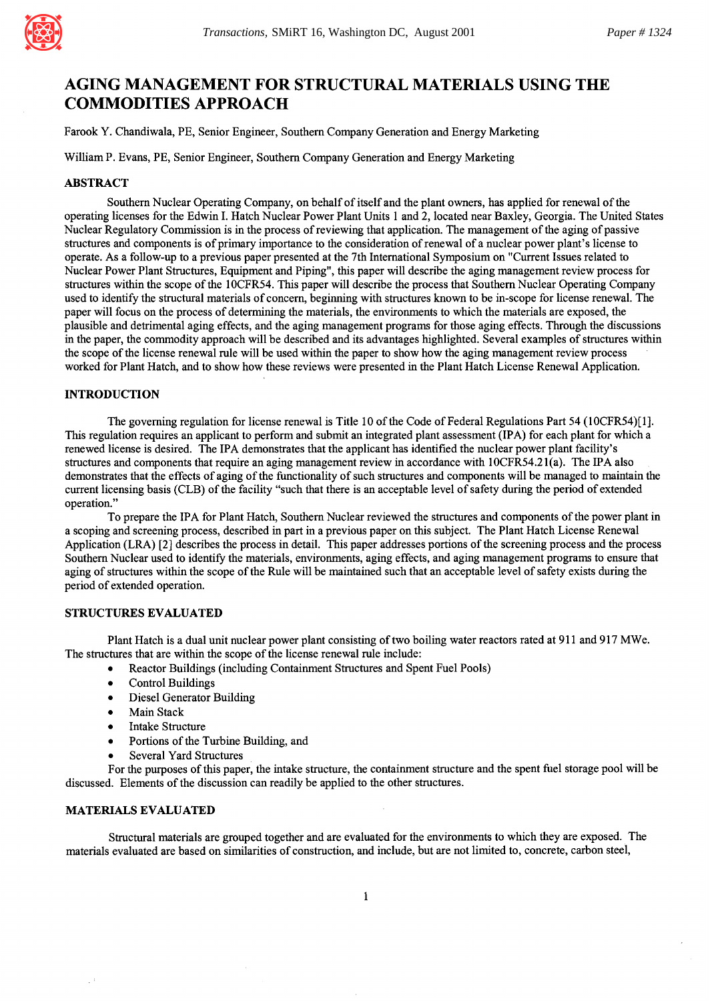

# **AGING MANAGEMENT FOR STRUCTURAL MATERIALS USING THE COMMODITIES APPROACH**

Farook Y. Chandiwala, PE, Senior Engineer, Southem Company Generation and Energy Marketing

William P. Evans, PE, Senior Engineer, Southern Company Generation and Energy Marketing

### ABSTRACT

Southern Nuclear Operating Company, on behalf of itself and the plant owners, has applied for renewal of the operating licenses for the Edwin I. Hatch Nuclear Power Plant Units 1 and 2, located near Baxley, Georgia. The United States Nuclear Regulatory Commission is in the process of reviewing that application. The management of the aging of passive structures and components is of primary importance to the consideration of renewal of a nuclear power plant's license to operate. As a follow-up to a previous paper presented at the 7th International Symposium on "Current Issues related to Nuclear Power Plant Structures, Equipment and Piping", this paper will describe the aging management review process for structures within the scope of the 10CFR54. This paper will describe the process that Southern Nuclear Operating Company used to identify the structural materials of concern, beginning with structures known to be in-scope for license renewal. The paper will focus on the process of determining the materials, the environments to which the materials are exposed, the plausible and detrimental aging effects, and the aging management programs for those aging effects. Through the discussions in the paper, the commodity approach will be described and its advantages highlighted. Several examples of structures within the scope of the license renewal rule will be used within the paper to show how the aging management review process worked for Plant Hatch, and to show how these reviews were presented in the Plant Hatch License Renewal Application.

# INTRODUCTION

The governing regulation for license renewal is Title 10 of the Code of Federal Regulations Part 54 (10CFR54)[1]. This regulation requires an applicant to perform and submit an integrated plant assessment (IPA) for each plant for which a renewed license is desired. The IPA demonstrates that the applicant has identified the nuclear power plant facility's structures and components that require an aging management review in accordance with 10CFR54.21 (a). The IPA also demonstrates that the effects of aging of the functionality of such structures and components will be managed to maintain the current licensing basis (CLB) of the facility "such that there is an acceptable level of safety during the period of extended operation."

To prepare the IPA for Plant Hatch, Southern Nuclear reviewed the structures and components of the power plant in a scoping and screening process, described in part in a previous paper on this subject. The Plant Hatch License Renewal Application (LRA) [2] describes the process in detail. This paper addresses portions of the screening process and the process Southern Nuclear used to identify the materials, environments, aging effects, and aging management programs to ensure that aging of structures within the scope of the Rule will be maintained such that an acceptable level of safety exists during the period of extended operation.

#### STRUCTURES EVALUATED

Plant Hatch is a dual unit nuclear power plant consisting of two boiling water reactors rated at 911 and 917 MWe. The structures that are within the scope of the license renewal rule include:

- Reactor Buildings (including Containment Structures and Spent Fuel Pools)
- Control Buildings
- Diesel Generator Building
- Main Stack
- Intake Structure
- Portions of the Turbine Building, and
- Several Yard Structures

For the purposes of this paper, the intake structure, the containment structure and the spent fuel storage pool will be discussed. Elements of the discussion can readily be applied to the other structures.

### MATERIALS EVALUATED

Structural materials are grouped together and are evaluated for the environments to which they are exposed. The materials evaluated are based on similarities of construction, and include, but are not limited to, concrete, carbon steel,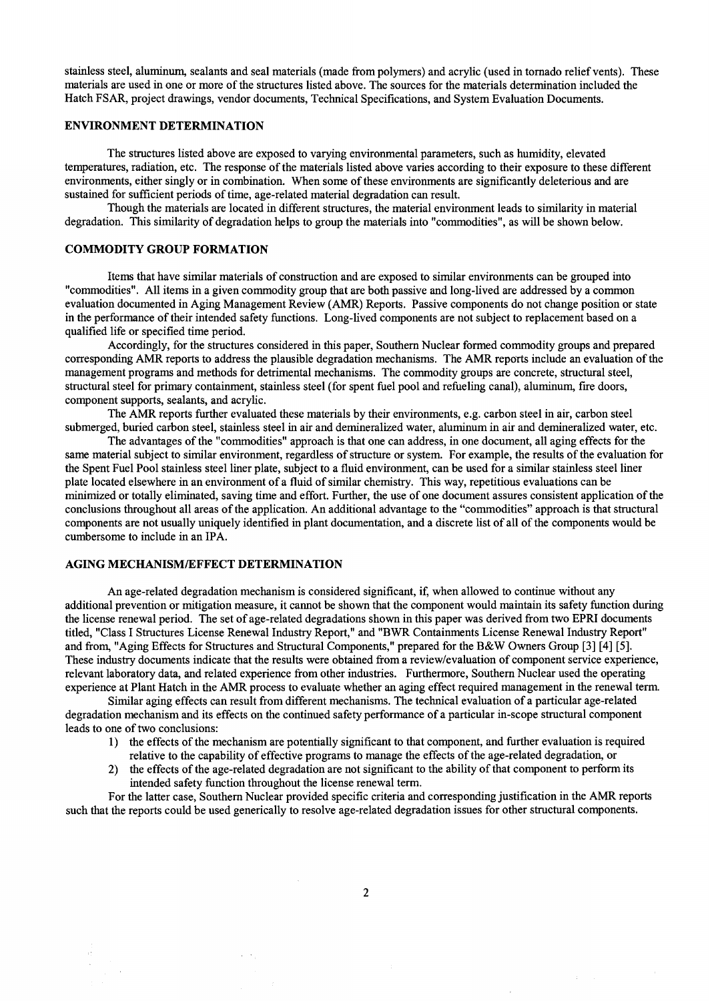stainless steel, aluminum, sealants and seal materials (made from polymers) and acrylic (used in tornado relief vents). These materials are used in one or more of the structures listed above. The sources for the materials determination included the Hatch FSAR, project drawings, vendor documents, Technical Specifications, and System Evaluation Documents.

### ENVIRONMENT DETERMINATION

The structures listed above are exposed to varying environmental parameters, such as humidity, elevated temperatures, radiation, etc. The response of the materials listed above varies according to their exposure to these different environments, either singly or in combination. When some of these environments are significantly deleterious and are sustained for sufficient periods of time, age-related material degradation can result.

Though the materials are located in different structures, the material environment leads to similarity in material degradation. This similarity of degradation helps to group the materials into "commodities", as will be shown below.

### COMMODITY GROUP FORMATION

Items that have similar materials of construction and are exposed to similar environments can be grouped into "commodities". All items in a given commodity group that are both passive and long-lived are addressed by a common evaluation documented in Aging Management Review (AMR) Reports. Passive components do not change position or state in the performance of their intended safety functions. Long-lived components are not subject to replacement based on a qualified life or specified time period.

Accordingly, for the structures considered in this paper, Southern Nuclear formed commodity groups and prepared corresponding AMR reports to address the plausible degradation mechanisms. The AMR reports include an evaluation of the management programs and methods for detrimental mechanisms. The commodity groups are concrete, structural steel, structural steel for primary containment, stainless steel (for spent fuel pool and refueling canal), aluminum, fire doors, component supports, sealants, and acrylic.

The AMR reports further evaluated these materials by their environments, e.g. carbon steel in air, carbon steel submerged, buried carbon steel, stainless steel in air and demineralized water, aluminum in air and demineralized water, etc.

The advantages of the "commodities" approach is that one can address, in one document, all aging effects for the same material subject to similar environment, regardless of structure or system. For example, the results of the evaluation for the Spent Fuel Pool stainless steel liner plate, subject to a fluid environment, can be used for a similar stainless steel liner plate located elsewhere in an environment of a fluid of similar chemistry. This way, repetitious evaluations can be minimized or totally eliminated, saving time and effort. Further, the use of one document assures consistent application of the conclusions throughout all areas of the application. An additional advantage to the "commodities" approach is that structural components are not usually uniquely identified in plant documentation, and a discrete list of all of the components would be cumbersome to include in an IPA.

### AGING MECHANISM/EFFECT DETERMINATION

An age-related degradation mechanism is considered significant, if, when allowed to continue without any additional prevention or mitigation measure, it cannot be shown that the component would maintain its safety function during the license renewal period. The set of age-related degradations shown in this paper was derived from two EPRI documents titled, "Class I Structures License Renewal Industry Report," and "BWR Containments License Renewal Industry Report" and from, "Aging Effects for Structures and Structural Components," prepared for the B&W Owners Group [3] [4] [5]. These industry documents indicate that the results were obtained from a review/evaluation of component service experience, relevant laboratory data, and related experience from other industries. Furthermore, Southern Nuclear used the operating experience at Plant Hatch in the AMR process to evaluate whether an aging effect required management in the renewal term.

Similar aging effects can result from different mechanisms. The technical evaluation of a particular age-related degradation mechanism and its effects on the continued safety performance of a particular in-scope structural component leads to one of two conclusions:

- 1) the effects of the mechanism are potentially significant to that component, and further evaluation is required relative to the capability of effective programs to manage the effects of the age-related degradation, or
- 2) the effects of the age-related degradation are not significant to the ability of that component to perform its intended safety function throughout the license renewal term.

For the latter case, Southern Nuclear provided specific criteria and corresponding justification in the AMR reports such that the reports could be used generically to resolve age-related degradation issues for other structural components.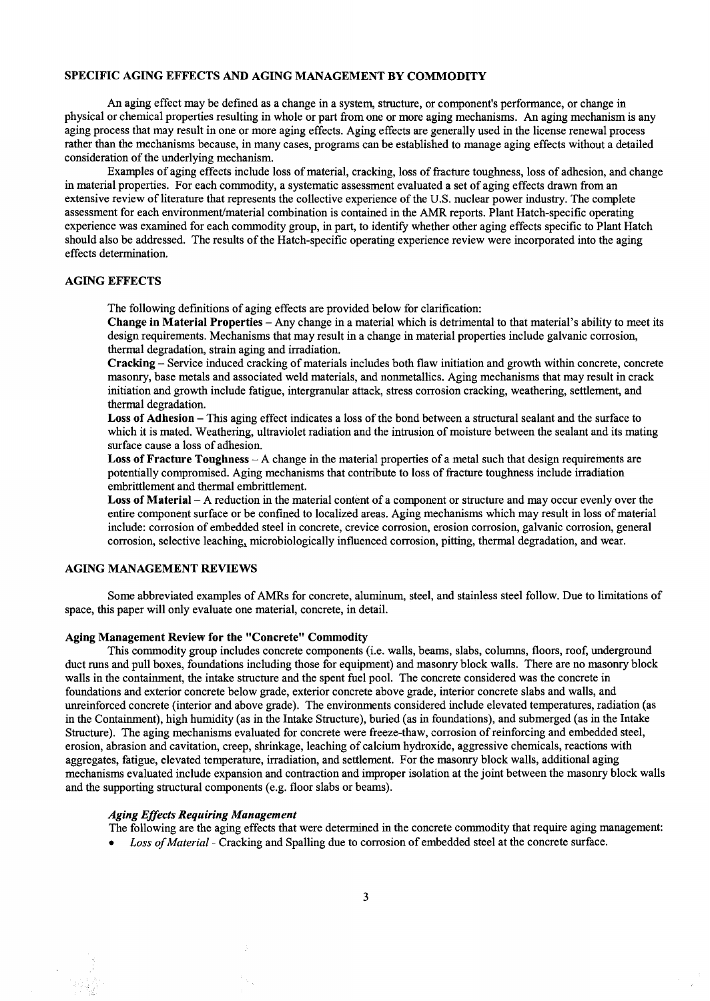### SPECIFIC AGING EFFECTS AND AGING MANAGEMENT BY COMMODITY

An aging effect may be defined as a change in a system, structure, or component's performance, or change in physical or chemical properties resulting in whole or part from one or more aging mechanisms. An aging mechanism is any aging process that may result in one or more aging effects. Aging effects are generally used in the license renewal process rather than the mechanisms because, in many cases, programs can be established to manage aging effects without a detailed consideration of the underlying mechanism.

Examples of aging effects include loss of material, cracking, loss of fracture toughness, loss of adhesion, and change in material properties. For each commodity, a systematic assessment evaluated a set of aging effects drawn from an extensive review of literature that represents the collective experience of the U.S. nuclear power industry. The complete assessment for each environment/material combination is contained in the AMR reports. Plant Hatch-specific operating experience was examined for each commodity group, in part, to identify whether other aging effects specific to Plant Hatch should also be addressed. The results of the Hatch-specific operating experience review were incorporated into the aging effects determination.

### AGING EFFECTS

The following definitions of aging effects are provided below for clarification:

**Change in Material Properties-** Any change in a material which is detrimental to that material's ability to meet its design requirements. Mechanisms that may result in a change in material properties include galvanic corrosion, thermal degradation, strain aging and irradiation.

**Cracking-** Service induced cracking of materials includes both flaw initiation and growth within concrete, concrete masonry, base metals and associated weld materials, and nonmetallics. Aging mechanisms that may result in crack initiation and growth include fatigue, intergranular attack, stress corrosion cracking, weathering, settlement, and thermal degradation.

**Loss of Adhesion-** This aging effect indicates a loss of the bond between a structural sealant and the surface to which it is mated. Weathering, ultraviolet radiation and the intrusion of moisture between the sealant and its mating surface cause a loss of adhesion.

**Loss of Fracture Toughness** - A change in the material properties of a metal such that design requirements are potentially compromised. Aging mechanisms that contribute to loss of fracture toughness include irradiation embrittlement and thermal embrittlement.

Loss of Material – A reduction in the material content of a component or structure and may occur evenly over the entire component surface or be confined to localized areas. Aging mechanisms which may result in loss of material include: corrosion of embedded steel in concrete, crevice corrosion, erosion corrosion, galvanic corrosion, general corrosion, selective leaching, microbiologically influenced corrosion, pitting, thermal degradation, and wear.

### AGING MANAGEMENT REVIEWS

Some abbreviated examples of AMRs for concrete, aluminum, steel, and stainless steel follow. Due to limitations of space, this paper will only evaluate one material, concrete, in detail.

#### **Aging Management Review for the "Concrete" Commodity**

This commodity group includes concrete components (i.e. walls, beams, slabs, columns, floors, roof, underground duct runs and pull boxes, foundations including those for equipment) and masonry block walls. There are no masonry block walls in the containment, the intake structure and the spent fuel pool. The concrete considered was the concrete in foundations and exterior concrete below grade, exterior concrete above grade, interior concrete slabs and walls, and unreinforced concrete (interior and above grade). The environments considered include elevated temperatures, radiation (as in the Containment), high humidity (as in the Intake Structure), buried (as in foundations), and submerged (as in the Intake Structure). The aging mechanisms evaluated for concrete were freeze-thaw, corrosion of reinforcing and embedded steel, erosion, abrasion and cavitation, creep, shrinkage, leaching of calcium hydroxide, aggressive chemicals, reactions with aggregates, fatigue, elevated temperature, irradiation, and settlement. For the masonry block walls, additional aging mechanisms evaluated include expansion and contraction and improper isolation at the joint between the masonry block walls and the supporting structural components (e.g. floor slabs or beams).

#### *Aging Effects Requiring Management*

The following are the aging effects that were determined in the concrete commodity that require aging management:

*• Loss of Material -* Cracking and Spalling due to corrosion of embedded steel at the concrete surface.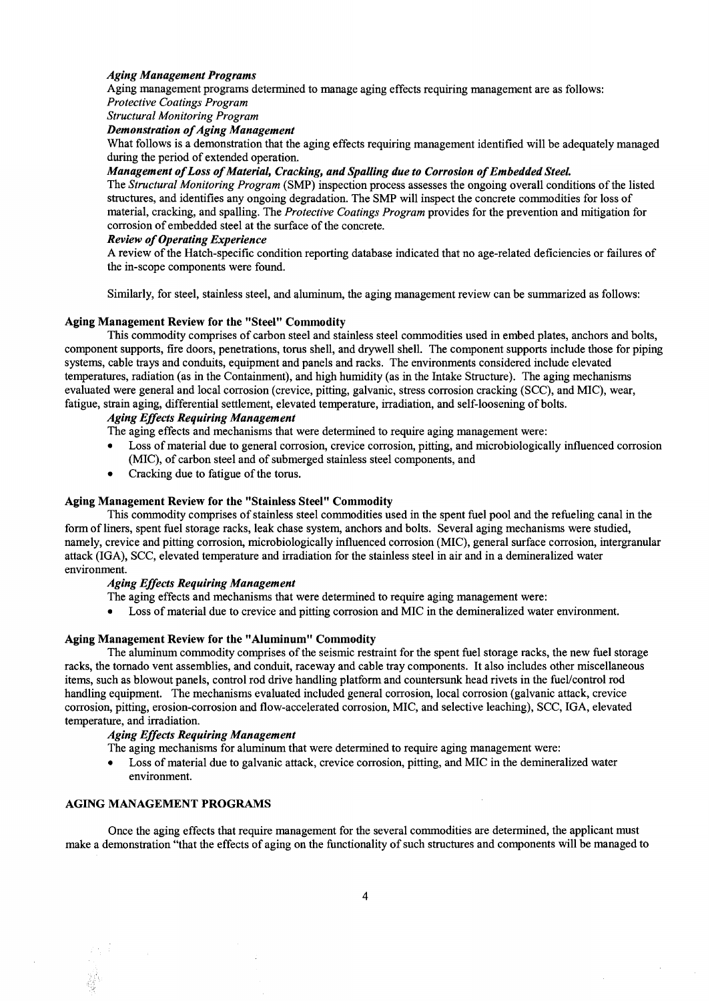### *Aging Management Programs*

Aging management programs determined to manage aging effects requiring management are as follows:

*Protective Coatings Program* 

*Structural Monitoring Program* 

*Demonstration of Aging Management* 

What follows is a demonstration that the aging effects requiring management identified will be adequately managed during the period of extended operation.

### *Management of Loss of Material, Cracking, and Spalling due to Corrosion of Embedded Steel.*

The *Structural Monitoring Program* (SMP) inspection process assesses the ongoing overall conditions of the listed structures, and identifies any ongoing degradation. The SMP will inspect the concrete commodities for loss of material, cracking, and spalling. The *Protective Coatings Program* provides for the prevention and mitigation for corrosion of embedded steel at the surface of the concrete.

### *Review of Operating Experience*

A review of the Hatch-specific condition reporting database indicated that no age-related deficiencies or failures of the in-scope components were found.

Similarly, for steel, stainless steel, and aluminum, the aging management review can be summarized as follows:

### **Aging Management Review for the "Steel" Commodity**

This commodity comprises of carbon steel and stainless steel commodities used in embed plates, anchors and bolts, component supports, fire doors, penetrations, torus shell, and drywell shell. The component supports include those for piping systems, cable trays and conduits, equipment and panels and racks. The environments considered include elevated temperatures, radiation (as in the Containment), and high humidity (as in the Intake Structure). The aging mechanisms evaluated were general and local corrosion (crevice, pitting, galvanic, stress corrosion cracking (SCC), and MIC), wear, fatigue, strain aging, differential settlement, elevated temperature, irradiation, and self-loosening of bolts.

# *Aging Effects Requiring Management*

The aging effects and mechanisms that were determined to require aging management were:

- Loss of material due to general corrosion, crevice corrosion, pitting, and microbiologically influenced corrosion (MIC), of carbon steel and of submerged stainless steel components, and
- Cracking due to fatigue of the torus.

### **Aging Management Review for the "Stainless Steel" Commodity**

This commodity comprises of stainless steel commodities used in the spent fuel pool and the refueling canal in the form of liners, spent fuel storage racks, leak chase system, anchors and bolts. Several aging mechanisms were studied, namely, crevice and pitting corrosion, microbiologically influenced corrosion (MIC), general surface corrosion, intergranular attack (IGA), SCC, elevated temperature and irradiation for the stainless steel in air and in a demineralized water environment.

### *Aging Effects Requiring Management*

The aging effects and mechanisms that were determined to require aging management were:

Loss of material due to crevice and pitting corrosion and MIC in the demineralized water environment.

### **Aging Management Review for the "Aluminum" Commodity**

The aluminum commodity comprises of the seismic restraint for the spent fuel storage racks, the new fuel storage racks, the tornado vent assemblies, and conduit, raceway and cable tray components. It also includes other miscellaneous items, such as blowout panels, control rod drive handling platform and countersunk head rivets in the fuel/control rod handling equipment. The mechanisms evaluated included general corrosion, local corrosion (galvanic attack, crevice corrosion, pitting, erosion-corrosion and flow-accelerated corrosion, MIC, and selective leaching), SCC, IGA, elevated temperature, and irradiation.

### *Aging Effects Requiring Management*

The aging mechanisms for aluminum that were determined to require aging management were:

• Loss of material due to galvanic attack, crevice corrosion, pitting, and MIC in the demineralized water environment.

#### AGING MANAGEMENT PROGRAMS

Once the aging effects that require management for the several commodities are determined, the applicant must make a demonstration "that the effects of aging on the functionality of such structures and components will be managed to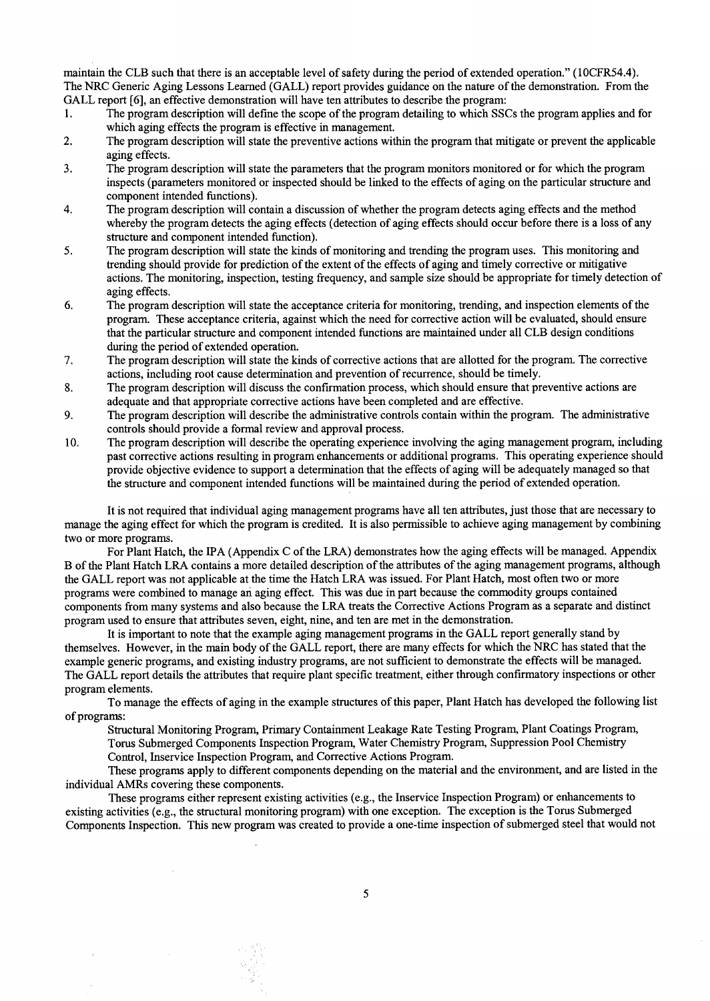maintain the CLB such that there is an acceptable level of safety during the period of extended operation." (10CFR54.4). The NRC Generic Aging Lessons Learned (GALL) report provides guidance on the nature of the demonstration. From the GALL report [6], an effective demonstration will have ten attributes to describe the program:

- 1. The program description will def'me the scope of the program detailing to which SSCs the program applies and for which aging effects the program is effective in management.
- 2. The program description will state the preventive actions within the program that mitigate or prevent the applicable aging effects.
- 3. The program description will state the parameters that the program monitors monitored or for which the program inspects (parameters monitored or inspected should be linked to the effects of aging on the particular structure and component intended functions).
- 4. The program description will contain a discussion of whether the program detects aging effects and the method whereby the program detects the aging effects (detection of aging effects should occur before there is a loss of any structure and component intended function).
- 5. The program description will state the kinds of monitoring and trending the program uses. This monitoring and trending should provide for prediction of the extent of the effects of aging and timely corrective or mitigative actions. The monitoring, inspection, testing frequency, and sample size should be appropriate for timely detection of aging effects.
- 6. The program description will state the acceptance criteria for monitoring, trending, and inspection elements of the program. These acceptance criteria, against which the need for corrective action will be evaluated, should ensure that the particular structure and component intended functions are maintained under all CLB design conditions during the period of extended operation.
- 7. The program description will state the kinds of corrective actions that are allotted for the program. The corrective actions, including root cause determination and prevention of recurrence, should be timely.
- 8. The program description will discuss the confirmation process, which should ensure that preventive actions are adequate and that appropriate corrective actions have been completed and are effective.
- 9. The program description will describe the administrative controls contain within the program. The administrative controls should provide a formal review and approval process.
- 10. The program description will describe the operating experience involving the aging management program, including past corrective actions resulting in program enhancements or additional programs. This operating experience should provide objective evidence to support a determination that the effects of aging will be adequately managed so that the structure and component intended functions will be maintained during the period of extended operation.

It is not required that individual aging management programs have all ten attributes, just those that are necessary to manage the aging effect for which the program is credited. It is also permissible to achieve aging management by combining two or more programs.

For Plant Hatch, the IPA (Appendix C of the LRA) demonstrates how the aging effects will be managed. Appendix B of the Plant Hatch LRA contains a more detailed description of the attributes of the aging management programs, although the GALL report was not applicable at the time the Hatch LRA was issued. For Plant Hatch, most often two or more programs were combined to manage an aging effect. This was due in part because the commodity groups contained components from many systems and also because the LRA treats the Corrective Actions Program as a separate and distinct program used to ensure that attributes seven, eight, nine, and ten are met in the demonstration.

It is important to note that the example aging management programs in the GALL report generally stand by themselves. However, in the main body of the GALL report, there are many effects for which the NRC has stated that the example generic programs, and existing industry programs, are not sufficient to demonstrate the effects will be managed. The GALL report details the attributes that require plant specific treatment, either through confirmatory inspections or other program elements.

To manage the effects of aging in the example structures of this paper, Plant Hatch has developed the following list of programs:

Structural Monitoring Program, Primary Containment Leakage Rate Testing Program, Plant Coatings Program, Toms Submerged Components Inspection Program, Water Chemistry Program, Suppression Pool Chemistry

Control, Inservice Inspection Program, and Corrective Actions Program.

노력도

These programs apply to different components depending on the material and the environment, and are listed in the individual AMRs covering these components.

These programs either represent existing activities (e.g., the Inservice Inspection Program) or enhancements to existing activities (e.g., the structural monitoring program) with one exception. The exception is the Torus Submerged Components Inspection. This new program was created to provide a one-time inspection of submerged steel that would not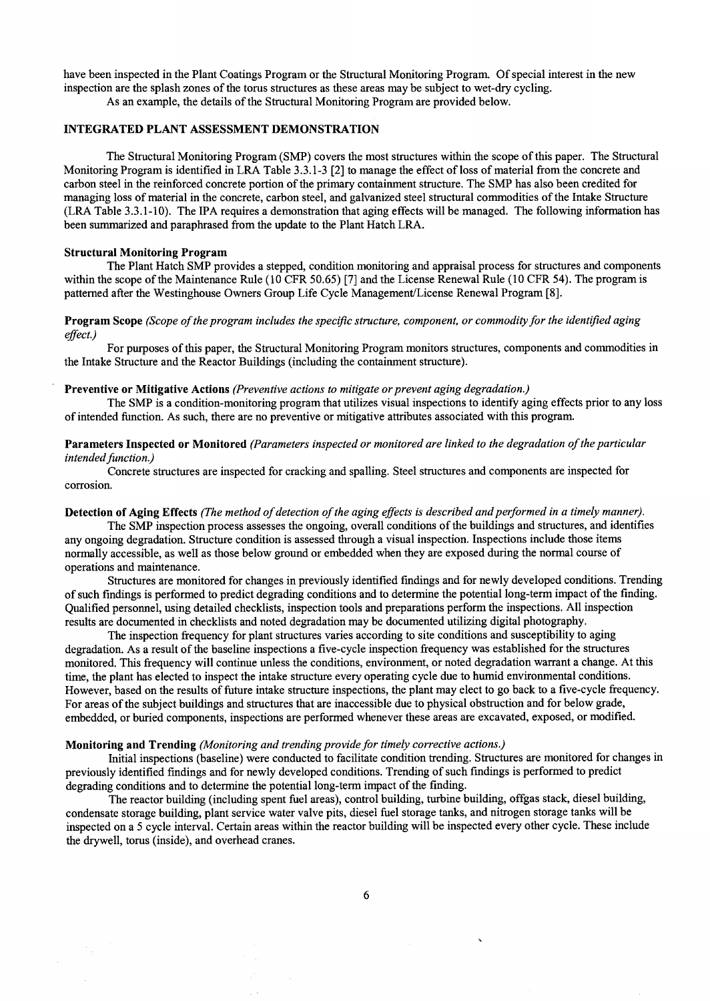have been inspected in the Plant Coatings Program or the Structural Monitoring Program. Of special interest in the new inspection are the splash zones of the torus structures as these areas may be subject to wet-dry cycling. As an example, the details of the Structural Monitoring Program are provided below.

### INTEGRATED PLANT ASSESSMENT DEMONSTRATION

The Structural Monitoring Program (SMP) covers the most structures within the scope of this paper. The Structural Monitoring Program is identified in LRA Table 3.3.1-3 [2] to manage the effect of loss of material from the concrete and carbon steel in the reinforced concrete portion of the primary containment structure. The SMP has also been credited for managing loss of material in the concrete, carbon steel, and galvanized steel structural commodities of the Intake Structure (LRA Table 3.3.1-10). The IPA requires a demonstration that aging effects will be managed. The following information has been summarized and paraphrased from the update to the Plant Hatch LRA.

#### **Structural Monitoring Program**

The Plant Hatch SMP provides a stepped, condition monitoring and appraisal process for structures and components within the scope of the Maintenance Rule (10 CFR 50.65) [7] and the License Renewal Rule (10 CFR 54). The program is patterned after the Westinghouse Owners Group Life Cycle Management/License Renewal Program [8].

# **Program Scope** *(Scope of the program includes the specific structure, component, or commodity for the identified aging effect.)*

For purposes of this paper, the Structural Monitoring Program monitors structures, components and commodities in the Intake Structure and the Reactor Buildings (including the containment structure).

### **Preventive or Mitigative Actions** *(Preventive actions to mitigate or prevent aging degradation.)*

The SMP is a condition-monitoring program that utilizes visual inspections to identify aging effects prior to any loss of intended function. As such, there are no preventive or mitigative attributes associated with this program.

### **Parameters Inspected or Monitored** *(Parameters inspected or monitored are linked to the degradation of the particular intended function.)*

Concrete structures are inspected for cracking and spalling. Steel structures and components are inspected for corrosion.

#### **Detection of Aging Effects** *(The method of detection of the aging effects is described and performed in a timely manner).*

The SMP inspection process assesses the ongoing, overall conditions of the buildings and structures, and identifies any ongoing degradation. Structure condition is assessed through a visual inspection. Inspections include those items normally accessible, as well as those below ground or embedded when they are exposed during the normal course of operations and maintenance.

Structures are monitored for changes in previously identified findings and for newly developed conditions. Trending of such findings is performed to predict degrading conditions and to determine the potential long-term impact of the finding. Qualified personnel, using detailed checklists, inspection tools and preparations perform the inspections. All inspection results are documented in checklists and noted degradation may be documented utilizing digital photography.

The inspection frequency for plant structures varies according to site conditions and susceptibility to aging degradation. As a result of the baseline inspections a five-cycle inspection frequency was established for the structures monitored. This frequency will continue unless the conditions, environment, or noted degradation warrant a change. At this time, the plant has elected to inspect the intake structure every operating cycle due to humid environmental conditions. However, based on the results of future intake structure inspections, the plant may elect to go back to a five-cycle frequency. For areas of the subject buildings and structures that are inaccessible due to physical obstruction and for below grade, embedded, or buried components, inspections are performed whenever these areas are excavated, exposed, or modified.

### **Monitoring and Trending** *(Monitoring and trending provide for timely corrective actions.)*

Initial inspections (baseline) were conducted to facilitate condition trending. Structures are monitored for changes in previously identified findings and for newly developed conditions. Trending of such findings is performed to predict degrading conditions and to determine the potential long-term impact of the finding.

The reactor building (including spent fuel areas), control building, turbine building, offgas stack, diesel building, condensate storage building, plant service water valve pits, diesel fuel storage tanks, and nitrogen storage tanks will be inspected on a 5 cycle interval. Certain areas within the reactor building will be inspected every other cycle. These include the drywell, torus (inside), and overhead cranes.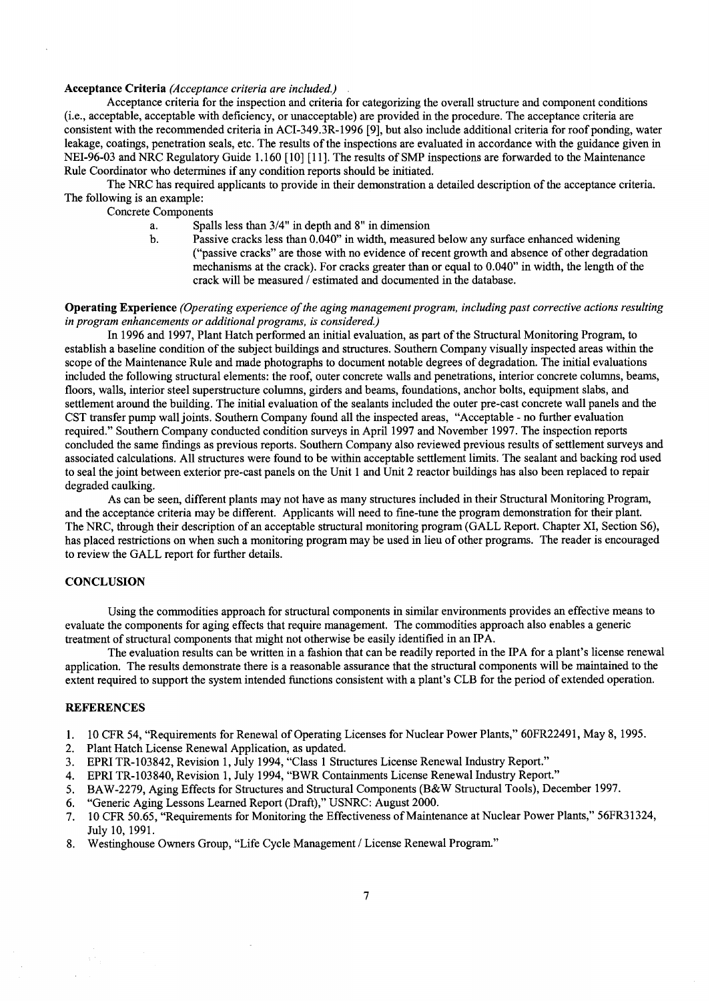#### **Acceptance Criteria** *(Acceptance criteria are included.)*

Acceptance criteria for the inspection and criteria for categorizing the overall structure and component conditions (i.e., acceptable, acceptable with deficiency, or unacceptable) are provided in the procedure. The acceptance criteria are consistent with the recommended criteria in ACI-349.3R-1996 [9], but also include additional criteria for roof ponding, water leakage, coatings, penetration seals, etc. The results of the inspections are evaluated in accordance with the guidance given in NEI-96-03 and NRC Regulatory Guide 1.160 [10] [11]. The results of SMP inspections are forwarded to the Maintenance Rule Coordinator who determines if any condition reports should be initiated.

The NRC has required applicants to provide in their demonstration a detailed description of the acceptance criteria. The following is an example:

Concrete Components

- a. Spalls less than 3/4" in depth and 8" in dimension
- b. Passive cracks less than  $0.040$ " in width, measured below any surface enhanced widening ("passive cracks" are those with no evidence of recent growth and absence of other degradation mechanisms at the crack). For cracks greater than or equal to 0.040" in width, the length of the crack will be measured / estimated and documented in the database.

#### **Operating Experience** *(Operating experience of the aging management program, including past corrective actions resulting in program enhancements or additional programs, is considered.)*

In 1996 and 1997, Plant Hatch performed an initial evaluation, as part of the Structural Monitoring Program, to establish a baseline condition of the subject buildings and structures. Southern Company visually inspected areas within the scope of the Maintenance Rule and made photographs to document notable degrees of degradation. The initial evaluations included the following structural elements: the roof, outer concrete walls and penetrations, interior concrete columns, beams, floors, walls, interior steel superstructure columns, girders and beams, foundations, anchor bolts, equipment slabs, and settlement around the building. The initial evaluation of the sealants included the outer pre-cast concrete wall panels and the CST transfer pump wall joints. Southern Company found all the inspected areas, "Acceptable - no further evaluation required." Southern Company conducted condition surveys in April 1997 and November 1997. The inspection reports concluded the same findings as previous reports. Southern Company also reviewed previous results of settlement surveys and associated calculations. All structures were found to be within acceptable settlement limits. The sealant and backing rod used to seal the joint between exterior pre-cast panels on the Unit 1 and Unit 2 reactor buildings has also been replaced to repair degraded caulking.

As can be seen, different plants may not have as many structures included in their Structural Monitoring Program, and the acceptance criteria may be different. Applicants will need to fine-tune the program demonstration for their plant. The NRC, through their description of an acceptable structural monitoring program (GALL Report. Chapter XI, Section \$6), has placed restrictions on when such a monitoring program may be used in lieu of other programs. The reader is encouraged to review the GALL report for further details.

### **CONCLUSION**

Using the commodities approach for structural components in similar environments provides an effective means to evaluate the components for aging effects that require management. The commodities approach also enables a generic treatment of structural components that might not otherwise be easily identified in an IPA.

The evaluation results can be written in a fashion that can be readily reported in the IPA for a plant's license renewal application. The results demonstrate there is a reasonable assurance that the structural components will be maintained to the extent required to support the system intended functions consistent with a plant's CLB for the period of extended operation.

### **REFERENCES**

- 1. 10 CFR 54, "Requirements for Renewal of Operating Licenses for Nuclear Power Plants," 60FR22491, May 8, 1995.
- 2. Plant Hatch License Renewal Application, as updated.
- 3. EPRI TR-103842, Revision 1, July 1994, "Class 1 Structures License Renewal Industry Report."
- 4. EPRI TR-103840, Revision 1, July 1994, "BWR Containments License Renewal Industry Report."
- 5. BAW-2279, Aging Effects for Structures and Structural Components (B&W Structural Tools), December 1997.
- 6. "Generic Aging Lessons Learned Report (Draft)," USNRC: August 2000.
- 7. 10 CFR 50.65, "Requirements for Monitoring the Effectiveness of Maintenance at Nuclear Power Plants," 56FR31324, July 10, 1991.
- 8. Westinghouse Owners Group, "Life Cycle Management / License Renewal Program."